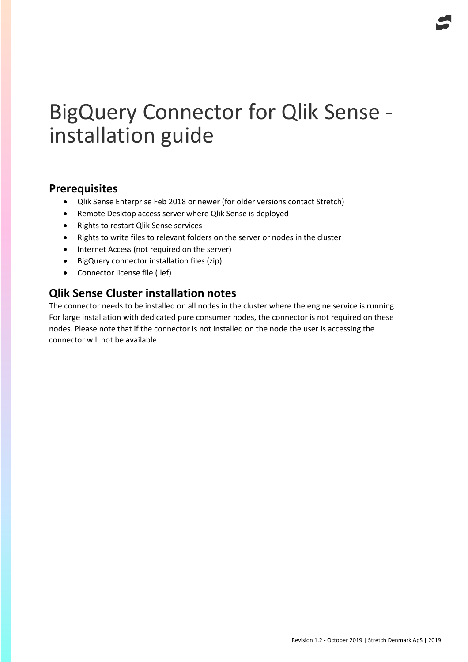## BigQuery Connector for Qlik Sense installation guide

## **Prerequisites**

- Qlik Sense Enterprise Feb 2018 or newer (for older versions contact Stretch)
- Remote Desktop access server where Qlik Sense is deployed
- Rights to restart Qlik Sense services
- Rights to write files to relevant folders on the server or nodes in the cluster
- Internet Access (not required on the server)
- BigQuery connector installation files (zip)
- Connector license file (.lef)

## **Qlik Sense Cluster installation notes**

The connector needs to be installed on all nodes in the cluster where the engine service is running. For large installation with dedicated pure consumer nodes, the connector is not required on these nodes. Please note that if the connector is not installed on the node the user is accessing the connector will not be available.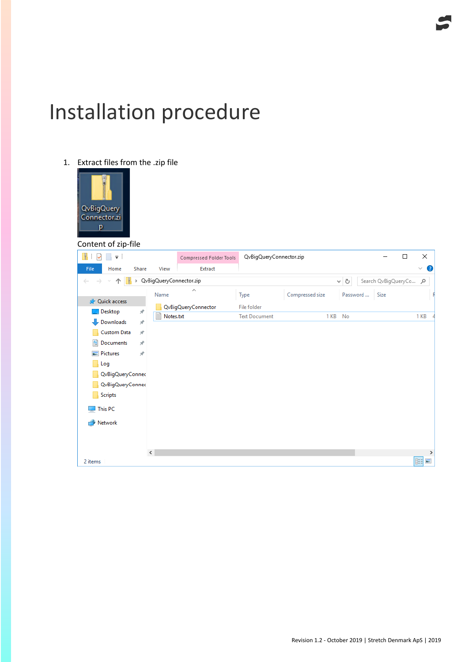# Installation procedure

1. Extract files from the .zip file

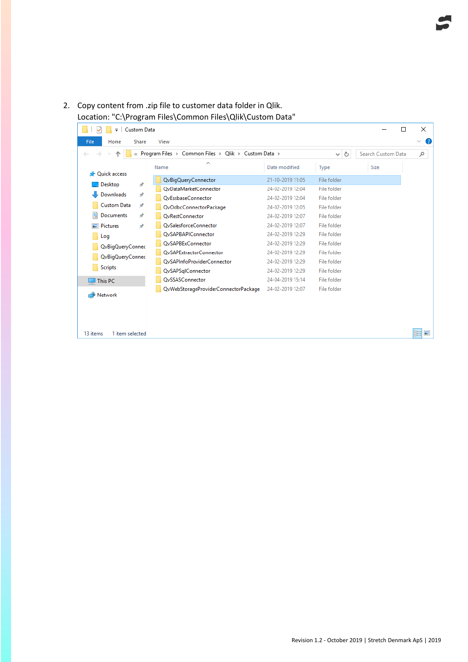### 2. Copy content from .zip file to customer data folder in Qlik. Location: "C:\Program Files\Common Files\Qlik\Custom Data"

| Custom Data<br>$\equiv$                                               |                                      |                  |             |      | ×<br>$\Box$                   |
|-----------------------------------------------------------------------|--------------------------------------|------------------|-------------|------|-------------------------------|
| File<br>Home<br>Share                                                 | View                                 |                  |             |      | Ø<br>$\checkmark$             |
| Program Files > Common Files > Qlik > Custom Data ><br>৺ ি<br>$\prec$ |                                      |                  |             |      | Search Custom Data<br>مر      |
| <b>Duick access</b>                                                   | ∼<br>Name                            | Date modified    | Type        | Size |                               |
|                                                                       | QvBigQueryConnector                  | 21-10-2019 11:05 | File folder |      |                               |
| $\mathcal{R}$<br>Desktop                                              | OvDataMarketConnector                | 24-02-2019 12:04 | File folder |      |                               |
| Downloads<br>$\overrightarrow{x}$                                     | OvEssbaseConnector                   | 24-02-2019 12:04 | File folder |      |                               |
| <b>Custom Data</b><br>$\mathcal{R}$                                   | QvOdbcConnectorPackage               | 24-02-2019 12:05 | File folder |      |                               |
| 兽<br>Documents<br>À                                                   | <b>OvRestConnector</b>               | 24-02-2019 12:07 | File folder |      |                               |
| <b>Pictures</b><br>$\mathcal{R}$                                      | OvSalesforceConnector                | 24-02-2019 12:07 | File folder |      |                               |
| Log                                                                   | <b>QvSAPBAPIConnector</b>            | 24-02-2019 12:29 | File folder |      |                               |
| QvBigQueryConnec<br>QvBigQueryConnec                                  | <b>OvSAPBExConnector</b>             | 24-02-2019 12:29 | File folder |      |                               |
|                                                                       | <b>OvSAPExtractorConnector</b>       | 24-02-2019 12:29 | File folder |      |                               |
|                                                                       | <b>OvSAPInfoProviderConnector</b>    | 24-02-2019 12:29 | File folder |      |                               |
| <b>Scripts</b>                                                        | QvSAPSqlConnector                    | 24-02-2019 12:29 | File folder |      |                               |
| This PC                                                               | OvSSASConnector                      | 24-04-2019 15:14 | File folder |      |                               |
| Network                                                               | QvWebStorageProviderConnectorPackage | 24-02-2019 12:07 | File folder |      |                               |
|                                                                       |                                      |                  |             |      |                               |
| 13 items<br>1 item selected                                           |                                      |                  |             |      | $\overline{\phantom{a}}$<br>睚 |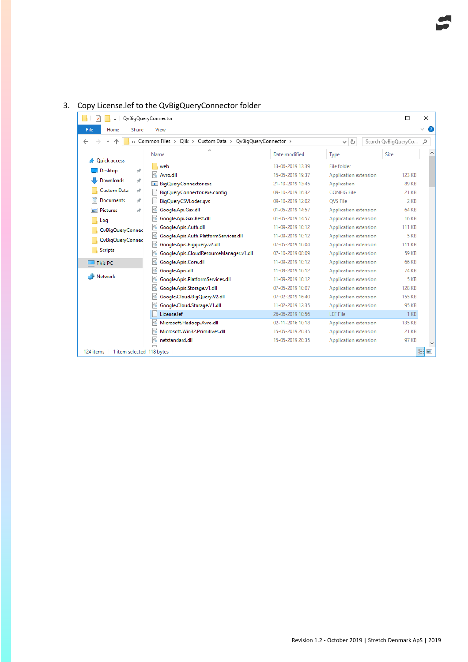| $\overline{\phantom{a}}$               | QvBigQueryConnector                                         |                  |                       | П                   | ×            |
|----------------------------------------|-------------------------------------------------------------|------------------|-----------------------|---------------------|--------------|
| File<br>Home<br>Share                  | View                                                        |                  |                       |                     | $\checkmark$ |
|                                        | « Common Files > Qlik > Custom Data > QvBigQueryConnector > |                  | Ō<br>$\checkmark$     | Search QvBigQueryCo | م            |
| <b>Duick access</b>                    | Name                                                        | Date modified    | Type                  | Size                |              |
|                                        | web                                                         | 13-06-2019 13:39 | <b>File folder</b>    |                     |              |
| Desktop<br>À                           | I.<br>Avro.dll                                              | 15-05-2019 19:37 | Application extension | <b>123 KB</b>       |              |
| Downloads<br>À                         | <b>BigQueryConnector.exe</b>                                | 21-10-2019 13:45 | Application           | <b>89 KB</b>        |              |
| <b>Custom Data</b><br>À                | BigQueryConnector.exe.config                                | 09-10-2019 16:32 | <b>CONFIG File</b>    | 21 KB               |              |
| <b>Documents</b><br>À                  | BigQueryCSVLoder.gvs                                        | 09-10-2019 12:02 | <b>OVS File</b>       | $2$ KB              |              |
| $\blacksquare$ Pictures<br>À           | Google.Api.Gax.dll<br> ⊛                                    | 01-05-2019 14:57 | Application extension | <b>64 KB</b>        |              |
| Log                                    | ⊛ <br>Google.Api.Gax.Rest.dll                               | 01-05-2019 14:57 | Application extension | <b>16 KB</b>        |              |
| QvBigQueryConnec                       | S<br>Google.Apis.Auth.dll                                   | 11-09-2019 10:12 | Application extension | <b>111 KB</b>       |              |
| QvBigQueryConnec                       | Google.Apis.Auth.PlatformServices.dll                       | 11-09-2019 10:12 | Application extension | 5 KB                |              |
|                                        | %<br>Google.Apis.Bigguery.v2.dll                            | 07-05-2019 10:04 | Application extension | <b>111 KB</b>       |              |
| <b>Scripts</b>                         | Google.Apis.CloudResourceManager.v1.dll<br>I Co             | 07-10-2019 08:09 | Application extension | <b>59 KB</b>        |              |
| This PC                                | Google.Apis.Core.dll<br>▧                                   | 11-09-2019 10:12 | Application extension | <b>66 KB</b>        |              |
|                                        | I.<br>Google.Apis.dll                                       | 11-09-2019 10:12 | Application extension | <b>74 KB</b>        |              |
| Network                                | Google.Apis.PlatformServices.dll<br> ⊛                      | 11-09-2019 10:12 | Application extension | 5 KB                |              |
|                                        | I.<br>Google.Apis.Storage.v1.dll                            | 07-05-2019 10:07 | Application extension | <b>128 KB</b>       |              |
|                                        | Google.Cloud.BigQuery.V2.dll                                | 07-02-2019 16:40 | Application extension | <b>155 KB</b>       |              |
|                                        | Google.Cloud.Storage.V1.dll                                 | 11-02-2019 12:35 | Application extension | <b>95 KB</b>        |              |
|                                        | License.lef                                                 | 26-06-2019 10:56 | <b>LEF File</b>       | 1 <sub>KB</sub>     |              |
|                                        | Microsoft.Hadoop.Avro.dll                                   | 02-11-2016 10:18 | Application extension | <b>135 KB</b>       |              |
|                                        | Microsoft.Win32.Primitives.dll                              | 15-05-2019 20:35 | Application extension | <b>21 KB</b>        |              |
|                                        | netstandard.dll                                             | 15-05-2019 20:35 | Application extension | 97 KB               |              |
| 1 item selected 118 bytes<br>124 items |                                                             |                  |                       |                     | Е            |

## 3. Copy License.lef to the QvBigQueryConnector folder